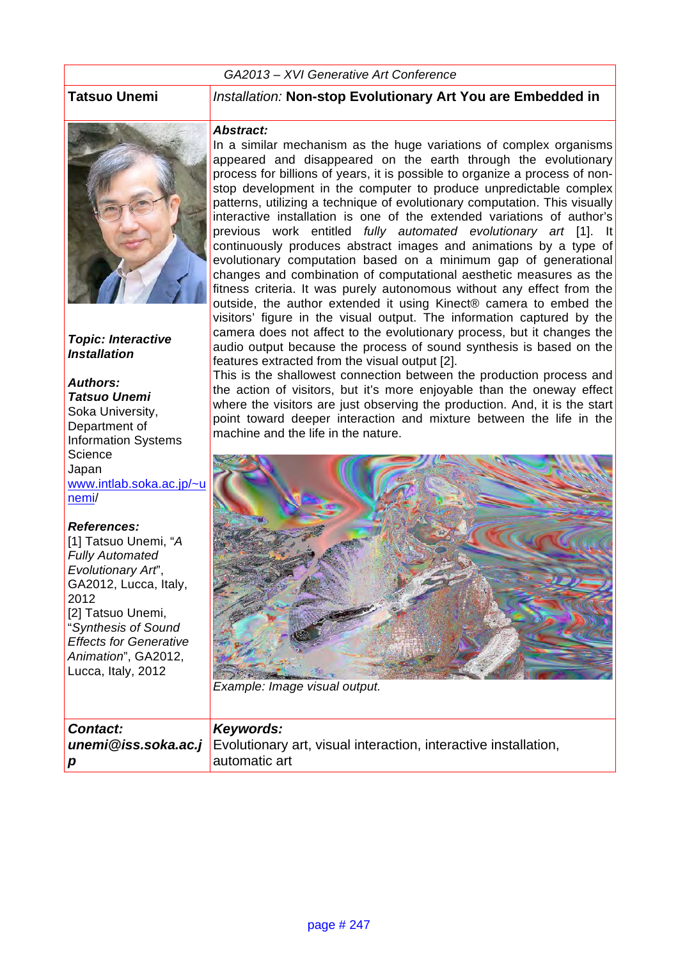#### *GA2013 – XVI Generative Art Conference*



*Topic: Interactive Installation*

### *Authors: Tatsuo Unemi* Soka University,

Department of Information Systems **Science** Japan www.intlab.soka.ac.jp/~u nemi/

#### *References:*

[1] Tatsuo Unemi, "*A Fully Automated Evolutionary Art*", GA2012, Lucca, Italy, 2012 [2] Tatsuo Unemi, "*Synthesis of Sound Effects for Generative Animation*", GA2012, Lucca, Italy, 2012

#### **Tatsuo Unemi** *Installation:* **Non-stop Evolutionary Art You are Embedded in**

#### *Abstract:*

In a similar mechanism as the huge variations of complex organisms appeared and disappeared on the earth through the evolutionary process for billions of years, it is possible to organize a process of nonstop development in the computer to produce unpredictable complex patterns, utilizing a technique of evolutionary computation. This visually interactive installation is one of the extended variations of author's previous work entitled *fully automated evolutionary art* [1]. It continuously produces abstract images and animations by a type of evolutionary computation based on a minimum gap of generational changes and combination of computational aesthetic measures as the fitness criteria. It was purely autonomous without any effect from the outside, the author extended it using Kinect® camera to embed the visitors' figure in the visual output. The information captured by the camera does not affect to the evolutionary process, but it changes the audio output because the process of sound synthesis is based on the features extracted from the visual output [2].

This is the shallowest connection between the production process and the action of visitors, but it's more enjoyable than the oneway effect where the visitors are just observing the production. And, it is the start point toward deeper interaction and mixture between the life in the machine and the life in the nature.



*Example: Image visual output.*

| Contact: | Keywords:                                                                                  |
|----------|--------------------------------------------------------------------------------------------|
|          | <b>unemi@iss.soka.ac.j</b> Evolutionary art, visual interaction, interactive installation, |
| l D      | automatic art                                                                              |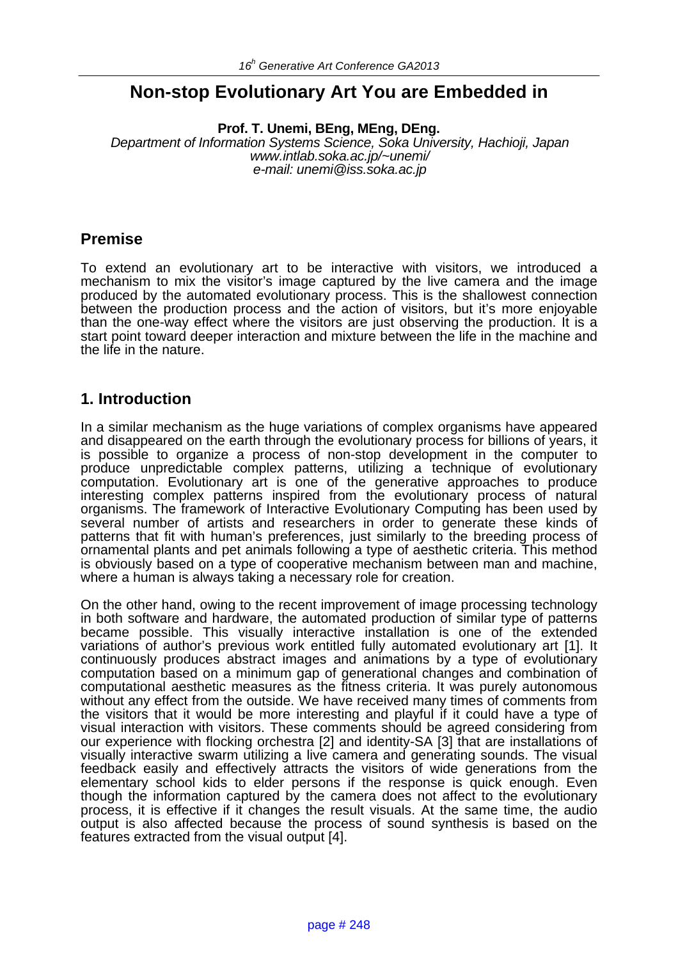# **Non-stop Evolutionary Art You are Embedded in**

**Prof. T. Unemi, BEng, MEng, DEng.**

*Department of Information Systems Science, Soka University, Hachioji, Japan www.intlab.soka.ac.jp/~unemi/ e-mail: unemi@iss.soka.ac.jp*

# **Premise**

To extend an evolutionary art to be interactive with visitors, we introduced a mechanism to mix the visitor's image captured by the live camera and the image produced by the automated evolutionary process. This is the shallowest connection between the production process and the action of visitors, but it's more enjoyable than the one-way effect where the visitors are just observing the production. It is a start point toward deeper interaction and mixture between the life in the machine and the life in the nature.

### **1. Introduction**

In a similar mechanism as the huge variations of complex organisms have appeared and disappeared on the earth through the evolutionary process for billions of years, it is possible to organize a process of non-stop development in the computer to produce unpredictable complex patterns, utilizing a technique of evolutionary computation. Evolutionary art is one of the generative approaches to produce interesting complex patterns inspired from the evolutionary process of natural organisms. The framework of Interactive Evolutionary Computing has been used by several number of artists and researchers in order to generate these kinds of patterns that fit with human's preferences, just similarly to the breeding process of ornamental plants and pet animals following a type of aesthetic criteria. This method is obviously based on a type of cooperative mechanism between man and machine, where a human is always taking a necessary role for creation.

On the other hand, owing to the recent improvement of image processing technology in both software and hardware, the automated production of similar type of patterns became possible. This visually interactive installation is one of the extended variations of author's previous work entitled fully automated evolutionary art [1]. It continuously produces abstract images and animations by a type of evolutionary computation based on a minimum gap of generational changes and combination of computational aesthetic measures as the fitness criteria. It was purely autonomous without any effect from the outside. We have received many times of comments from the visitors that it would be more interesting and playful if it could have a type of visual interaction with visitors. These comments should be agreed considering from our experience with flocking orchestra [2] and identity-SA [3] that are installations of visually interactive swarm utilizing a live camera and generating sounds. The visual feedback easily and effectively attracts the visitors of wide generations from the elementary school kids to elder persons if the response is quick enough. Even though the information captured by the camera does not affect to the evolutionary process, it is effective if it changes the result visuals. At the same time, the audio output is also affected because the process of sound synthesis is based on the features extracted from the visual output [4].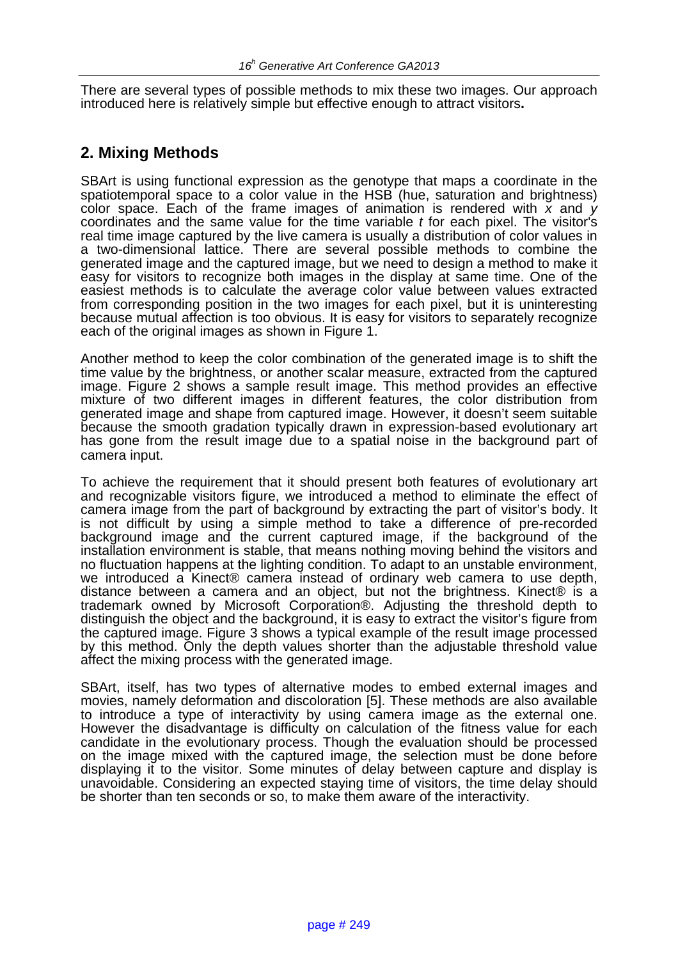There are several types of possible methods to mix these two images. Our approach introduced here is relatively simple but effective enough to attract visitors**.**

#### **2. Mixing Methods**

SBArt is using functional expression as the genotype that maps a coordinate in the spatiotemporal space to a color value in the HSB (hue, saturation and brightness) color space. Each of the frame images of animation is rendered with *x* and *y* coordinates and the same value for the time variable *t* for each pixel. The visitor's real time image captured by the live camera is usually a distribution of color values in a two-dimensional lattice. There are several possible methods to combine the generated image and the captured image, but we need to design a method to make it easy for visitors to recognize both images in the display at same time. One of the easiest methods is to calculate the average color value between values extracted from corresponding position in the two images for each pixel, but it is uninteresting because mutual affection is too obvious. It is easy for visitors to separately recognize each of the original images as shown in Figure 1.

Another method to keep the color combination of the generated image is to shift the time value by the brightness, or another scalar measure, extracted from the captured image. Figure 2 shows a sample result image. This method provides an effective mixture of two different images in different features, the color distribution from generated image and shape from captured image. However, it doesn't seem suitable because the smooth gradation typically drawn in expression-based evolutionary art has gone from the result image due to a spatial noise in the background part of camera input.

To achieve the requirement that it should present both features of evolutionary art and recognizable visitors figure, we introduced a method to eliminate the effect of camera image from the part of background by extracting the part of visitor's body. It is not difficult by using a simple method to take a difference of pre-recorded background image and the current captured image, if the background of the installation environment is stable, that means nothing moving behind the visitors and no fluctuation happens at the lighting condition. To adapt to an unstable environment, we introduced a Kinect® camera instead of ordinary web camera to use depth, distance between a camera and an object, but not the brightness. Kinect® is a trademark owned by Microsoft Corporation®. Adjusting the threshold depth to distinguish the object and the background, it is easy to extract the visitor's figure from the captured image. Figure 3 shows a typical example of the result image processed by this method. Only the depth values shorter than the adjustable threshold value affect the mixing process with the generated image.

SBArt, itself, has two types of alternative modes to embed external images and movies, namely deformation and discoloration [5]. These methods are also available to introduce a type of interactivity by using camera image as the external one. However the disadvantage is difficulty on calculation of the fitness value for each candidate in the evolutionary process. Though the evaluation should be processed on the image mixed with the captured image, the selection must be done before displaying it to the visitor. Some minutes of delay between capture and display is unavoidable. Considering an expected staying time of visitors, the time delay should be shorter than ten seconds or so, to make them aware of the interactivity.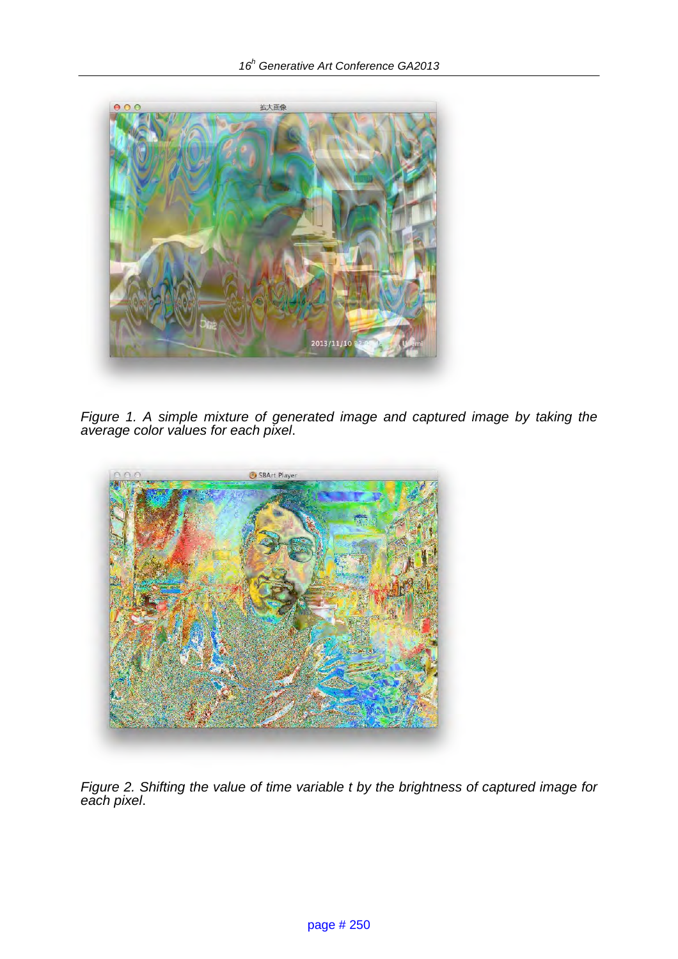

*Figure 1. A simple mixture of generated image and captured image by taking the average color values for each pixel*.



*Figure 2. Shifting the value of time variable t by the brightness of captured image for each pixel*.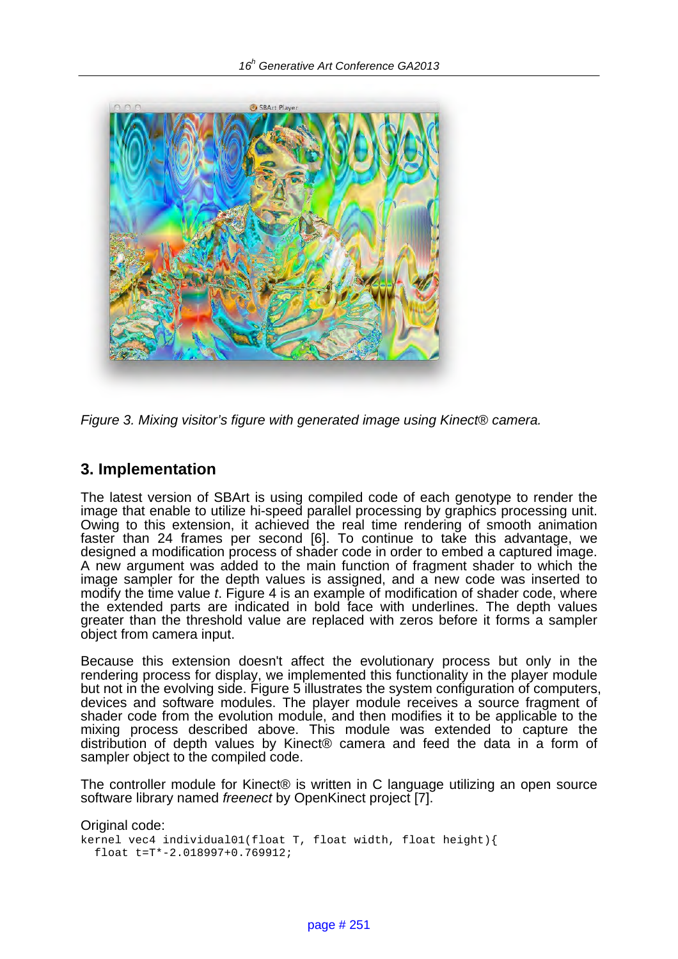

*Figure 3. Mixing visitor's figure with generated image using Kinect*® *camera.*

# **3. Implementation**

The latest version of SBArt is using compiled code of each genotype to render the image that enable to utilize hi-speed parallel processing by graphics processing unit. Owing to this extension, it achieved the real time rendering of smooth animation faster than 24 frames per second [6]. To continue to take this advantage, we designed a modification process of shader code in order to embed a captured image. A new argument was added to the main function of fragment shader to which the image sampler for the depth values is assigned, and a new code was inserted to modify the time value *t*. Figure 4 is an example of modification of shader code, where the extended parts are indicated in bold face with underlines. The depth values greater than the threshold value are replaced with zeros before it forms a sampler object from camera input.

Because this extension doesn't affect the evolutionary process but only in the rendering process for display, we implemented this functionality in the player module but not in the evolving side. Figure 5 illustrates the system configuration of computers, devices and software modules. The player module receives a source fragment of shader code from the evolution module, and then modifies it to be applicable to the mixing process described above. This module was extended to capture the distribution of depth values by Kinect® camera and feed the data in a form of sampler object to the compiled code.

The controller module for Kinect® is written in C language utilizing an open source software library named *freenect* by OpenKinect project [7].

Original code: kernel vec4 individual01(float T, float width, float height){ float t=T\*-2.018997+0.769912;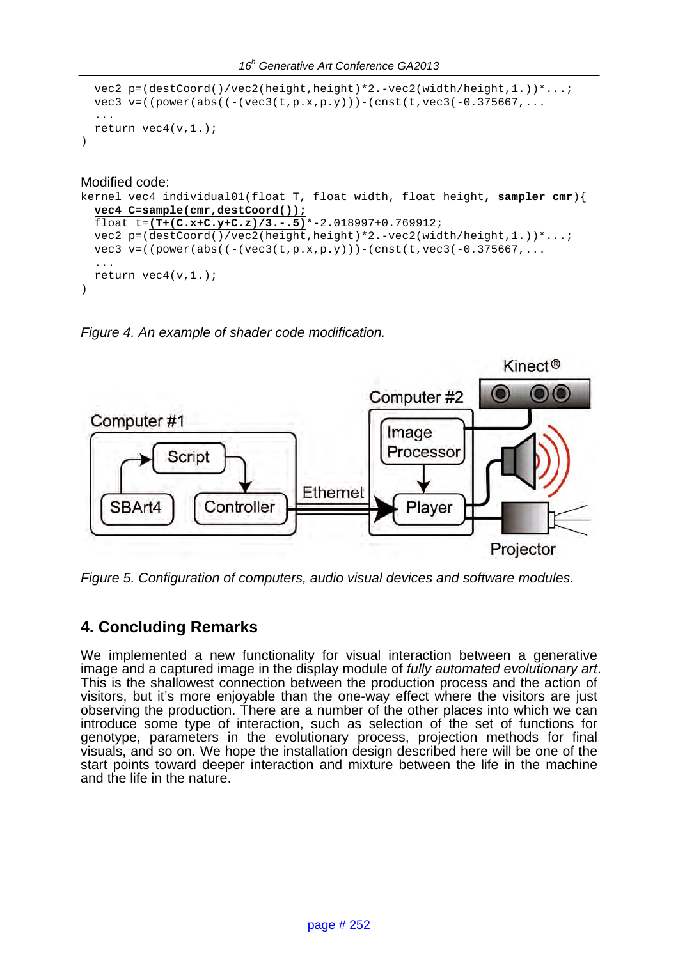```
 vec2 p=(destCoord()/vec2(height,height)*2.-vec2(width/height,1.))*...;
  vec3 v=(\text{power}(\text{abs}((-(\text{vec3}(t,p.x,p.y))))-(\text{cnst}(t,\text{vec3}(-0.375667,...))) ...
  return vec4(v,1.);
)
```
Modified code:

```
kernel vec4 individual01(float T, float width, float height, sampler cmr){
   vec4 C=sample(cmr,destCoord());
   float t=(T+(C.x+C.y+C.z)/3.-.5)*-2.018997+0.769912;
   vec2 p=(destCoord()/vec2(height,height)*2.-vec2(width/height,1.))*...;
  vec3 v=((power(abs((-(vec3(t,p.x,p.y)))-(cnst(t,vec3(-0.375667,...
   ...
  return vec4(v,1.);
)
```
*Figure 4. An example of shader code modification.* 



*Figure 5. Configuration of computers, audio visual devices and software modules.* 

# **4. Concluding Remarks**

We implemented a new functionality for visual interaction between a generative image and a captured image in the display module of *fully automated evolutionary art*. This is the shallowest connection between the production process and the action of visitors, but it's more enjoyable than the one-way effect where the visitors are just observing the production. There are a number of the other places into which we can introduce some type of interaction, such as selection of the set of functions for genotype, parameters in the evolutionary process, projection methods for final visuals, and so on. We hope the installation design described here will be one of the start points toward deeper interaction and mixture between the life in the machine and the life in the nature.